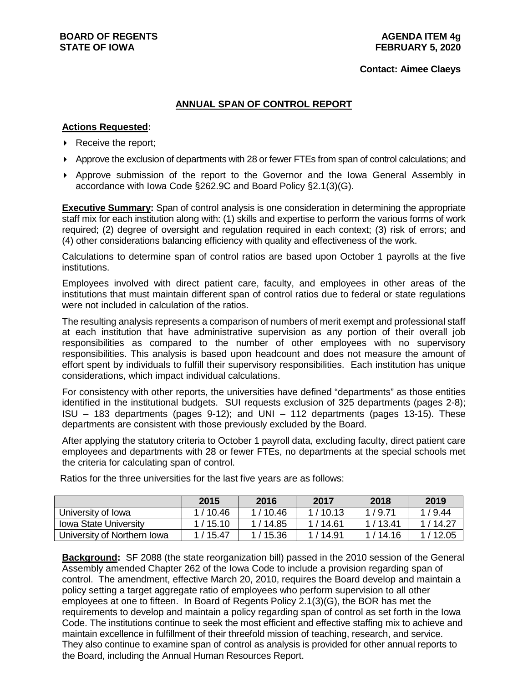#### **Contact: Aimee Claeys**

# **ANNUAL SPAN OF CONTROL REPORT**

## **Actions Requested:**

- $\triangleright$  Receive the report;
- Approve the exclusion of departments with 28 or fewer FTEs from span of control calculations; and
- Approve submission of the report to the Governor and the Iowa General Assembly in accordance with Iowa Code §262.9C and Board Policy §2.1(3)(G).

**Executive Summary:** Span of control analysis is one consideration in determining the appropriate staff mix for each institution along with: (1) skills and expertise to perform the various forms of work required; (2) degree of oversight and regulation required in each context; (3) risk of errors; and (4) other considerations balancing efficiency with quality and effectiveness of the work.

Calculations to determine span of control ratios are based upon October 1 payrolls at the five institutions.

Employees involved with direct patient care, faculty, and employees in other areas of the institutions that must maintain different span of control ratios due to federal or state regulations were not included in calculation of the ratios.

The resulting analysis represents a comparison of numbers of merit exempt and professional staff at each institution that have administrative supervision as any portion of their overall job responsibilities as compared to the number of other employees with no supervisory responsibilities. This analysis is based upon headcount and does not measure the amount of effort spent by individuals to fulfill their supervisory responsibilities. Each institution has unique considerations, which impact individual calculations.

For consistency with other reports, the universities have defined "departments" as those entities identified in the institutional budgets. SUI requests exclusion of 325 departments (pages 2-8); ISU – 183 departments (pages 9-12); and UNI – 112 departments (pages 13-15). These departments are consistent with those previously excluded by the Board.

After applying the statutory criteria to October 1 payroll data, excluding faculty, direct patient care employees and departments with 28 or fewer FTEs, no departments at the special schools met the criteria for calculating span of control.

|                              | 2015      | 2016      | 2017      | 2018    | 2019    |
|------------------------------|-----------|-----------|-----------|---------|---------|
| University of Iowa           | 1/10.46   | 1/10.46   | 1/10.13   | 1/9.71  | 1/9.44  |
| <b>Iowa State University</b> | 1/15.10   | 1 / 14.85 | 1/14.61   | 1/13.41 | 1/14.27 |
| University of Northern Iowa  | 1 / 15.47 | / 15.36   | 1 / 14.91 | 1/14.16 | 1/12.05 |

Ratios for the three universities for the last five years are as follows:

**Background:** SF 2088 (the state reorganization bill) passed in the 2010 session of the General Assembly amended Chapter 262 of the Iowa Code to include a provision regarding span of control. The amendment, effective March 20, 2010, requires the Board develop and maintain a policy setting a target aggregate ratio of employees who perform supervision to all other employees at one to fifteen. In Board of Regents Policy 2.1(3)(G), the BOR has met the requirements to develop and maintain a policy regarding span of control as set forth in the Iowa Code. The institutions continue to seek the most efficient and effective staffing mix to achieve and maintain excellence in fulfillment of their threefold mission of teaching, research, and service. They also continue to examine span of control as analysis is provided for other annual reports to the Board, including the Annual Human Resources Report.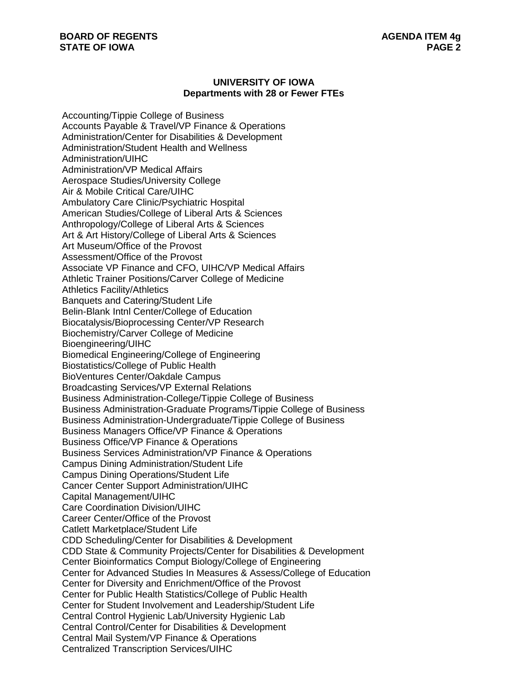## **UNIVERSITY OF IOWA Departments with 28 or Fewer FTEs**

Accounting/Tippie College of Business Accounts Payable & Travel/VP Finance & Operations Administration/Center for Disabilities & Development Administration/Student Health and Wellness Administration/UIHC Administration/VP Medical Affairs Aerospace Studies/University College Air & Mobile Critical Care/UIHC Ambulatory Care Clinic/Psychiatric Hospital American Studies/College of Liberal Arts & Sciences Anthropology/College of Liberal Arts & Sciences Art & Art History/College of Liberal Arts & Sciences Art Museum/Office of the Provost Assessment/Office of the Provost Associate VP Finance and CFO, UIHC/VP Medical Affairs Athletic Trainer Positions/Carver College of Medicine Athletics Facility/Athletics Banquets and Catering/Student Life Belin-Blank Intnl Center/College of Education Biocatalysis/Bioprocessing Center/VP Research Biochemistry/Carver College of Medicine Bioengineering/UIHC Biomedical Engineering/College of Engineering Biostatistics/College of Public Health BioVentures Center/Oakdale Campus Broadcasting Services/VP External Relations Business Administration-College/Tippie College of Business Business Administration-Graduate Programs/Tippie College of Business Business Administration-Undergraduate/Tippie College of Business Business Managers Office/VP Finance & Operations Business Office/VP Finance & Operations Business Services Administration/VP Finance & Operations Campus Dining Administration/Student Life Campus Dining Operations/Student Life Cancer Center Support Administration/UIHC Capital Management/UIHC Care Coordination Division/UIHC Career Center/Office of the Provost Catlett Marketplace/Student Life CDD Scheduling/Center for Disabilities & Development CDD State & Community Projects/Center for Disabilities & Development Center Bioinformatics Comput Biology/College of Engineering Center for Advanced Studies In Measures & Assess/College of Education Center for Diversity and Enrichment/Office of the Provost Center for Public Health Statistics/College of Public Health Center for Student Involvement and Leadership/Student Life Central Control Hygienic Lab/University Hygienic Lab Central Control/Center for Disabilities & Development Central Mail System/VP Finance & Operations Centralized Transcription Services/UIHC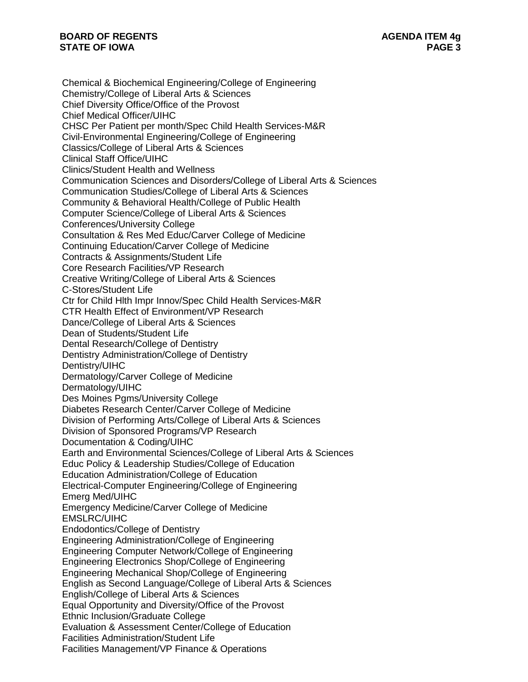Chemical & Biochemical Engineering/College of Engineering Chemistry/College of Liberal Arts & Sciences Chief Diversity Office/Office of the Provost Chief Medical Officer/UIHC CHSC Per Patient per month/Spec Child Health Services-M&R Civil-Environmental Engineering/College of Engineering Classics/College of Liberal Arts & Sciences Clinical Staff Office/UIHC Clinics/Student Health and Wellness Communication Sciences and Disorders/College of Liberal Arts & Sciences Communication Studies/College of Liberal Arts & Sciences Community & Behavioral Health/College of Public Health Computer Science/College of Liberal Arts & Sciences Conferences/University College Consultation & Res Med Educ/Carver College of Medicine Continuing Education/Carver College of Medicine Contracts & Assignments/Student Life Core Research Facilities/VP Research Creative Writing/College of Liberal Arts & Sciences C-Stores/Student Life Ctr for Child Hlth Impr Innov/Spec Child Health Services-M&R CTR Health Effect of Environment/VP Research Dance/College of Liberal Arts & Sciences Dean of Students/Student Life Dental Research/College of Dentistry Dentistry Administration/College of Dentistry Dentistry/UIHC Dermatology/Carver College of Medicine Dermatology/UIHC Des Moines Pgms/University College Diabetes Research Center/Carver College of Medicine Division of Performing Arts/College of Liberal Arts & Sciences Division of Sponsored Programs/VP Research Documentation & Coding/UIHC Earth and Environmental Sciences/College of Liberal Arts & Sciences Educ Policy & Leadership Studies/College of Education Education Administration/College of Education Electrical-Computer Engineering/College of Engineering Emerg Med/UIHC Emergency Medicine/Carver College of Medicine EMSLRC/UIHC Endodontics/College of Dentistry Engineering Administration/College of Engineering Engineering Computer Network/College of Engineering Engineering Electronics Shop/College of Engineering Engineering Mechanical Shop/College of Engineering English as Second Language/College of Liberal Arts & Sciences English/College of Liberal Arts & Sciences Equal Opportunity and Diversity/Office of the Provost Ethnic Inclusion/Graduate College Evaluation & Assessment Center/College of Education Facilities Administration/Student Life Facilities Management/VP Finance & Operations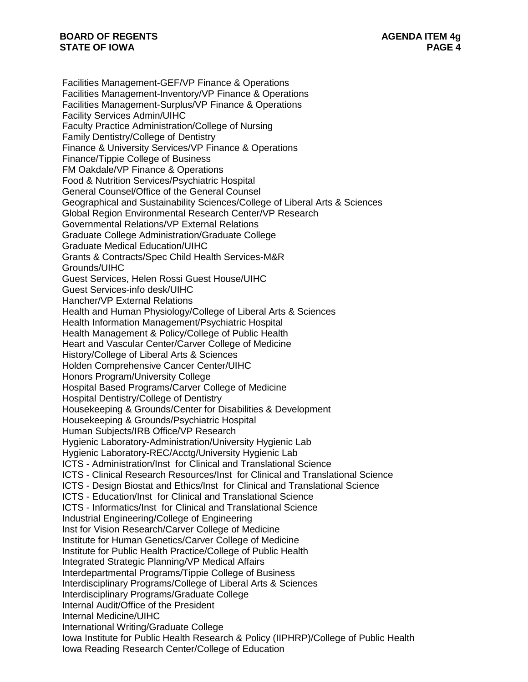Facilities Management-GEF/VP Finance & Operations Facilities Management-Inventory/VP Finance & Operations Facilities Management-Surplus/VP Finance & Operations Facility Services Admin/UIHC Faculty Practice Administration/College of Nursing Family Dentistry/College of Dentistry Finance & University Services/VP Finance & Operations Finance/Tippie College of Business FM Oakdale/VP Finance & Operations Food & Nutrition Services/Psychiatric Hospital General Counsel/Office of the General Counsel Geographical and Sustainability Sciences/College of Liberal Arts & Sciences Global Region Environmental Research Center/VP Research Governmental Relations/VP External Relations Graduate College Administration/Graduate College Graduate Medical Education/UIHC Grants & Contracts/Spec Child Health Services-M&R Grounds/UIHC Guest Services, Helen Rossi Guest House/UIHC Guest Services-info desk/UIHC Hancher/VP External Relations Health and Human Physiology/College of Liberal Arts & Sciences Health Information Management/Psychiatric Hospital Health Management & Policy/College of Public Health Heart and Vascular Center/Carver College of Medicine History/College of Liberal Arts & Sciences Holden Comprehensive Cancer Center/UIHC Honors Program/University College Hospital Based Programs/Carver College of Medicine Hospital Dentistry/College of Dentistry Housekeeping & Grounds/Center for Disabilities & Development Housekeeping & Grounds/Psychiatric Hospital Human Subjects/IRB Office/VP Research Hygienic Laboratory-Administration/University Hygienic Lab Hygienic Laboratory-REC/Acctg/University Hygienic Lab ICTS - Administration/Inst for Clinical and Translational Science ICTS - Clinical Research Resources/Inst for Clinical and Translational Science ICTS - Design Biostat and Ethics/Inst for Clinical and Translational Science ICTS - Education/Inst for Clinical and Translational Science ICTS - Informatics/Inst for Clinical and Translational Science Industrial Engineering/College of Engineering Inst for Vision Research/Carver College of Medicine Institute for Human Genetics/Carver College of Medicine Institute for Public Health Practice/College of Public Health Integrated Strategic Planning/VP Medical Affairs Interdepartmental Programs/Tippie College of Business Interdisciplinary Programs/College of Liberal Arts & Sciences Interdisciplinary Programs/Graduate College Internal Audit/Office of the President Internal Medicine/UIHC International Writing/Graduate College Iowa Institute for Public Health Research & Policy (IIPHRP)/College of Public Health Iowa Reading Research Center/College of Education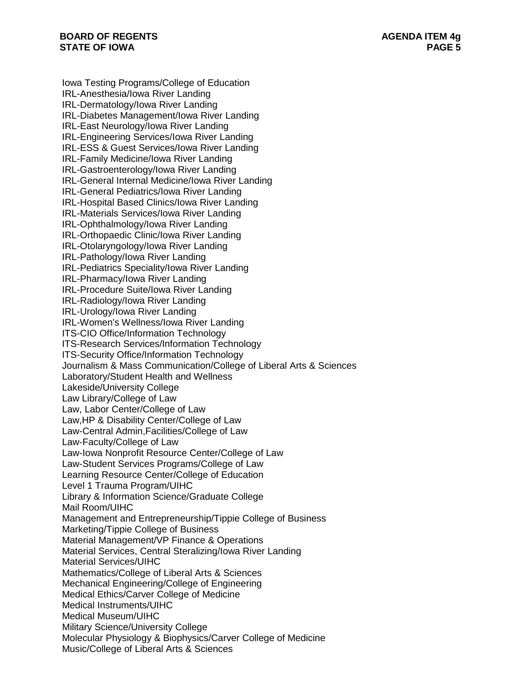Iowa Testing Programs/College of Education IRL-Anesthesia/Iowa River Landing IRL-Dermatology/Iowa River Landing IRL-Diabetes Management/Iowa River Landing IRL-East Neurology/Iowa River Landing IRL-Engineering Services/Iowa River Landing IRL-ESS & Guest Services/Iowa River Landing IRL-Family Medicine/Iowa River Landing IRL-Gastroenterology/Iowa River Landing IRL-General Internal Medicine/Iowa River Landing IRL-General Pediatrics/Iowa River Landing IRL-Hospital Based Clinics/Iowa River Landing IRL-Materials Services/Iowa River Landing IRL-Ophthalmology/Iowa River Landing IRL-Orthopaedic Clinic/Iowa River Landing IRL-Otolaryngology/Iowa River Landing IRL-Pathology/Iowa River Landing IRL-Pediatrics Speciality/Iowa River Landing IRL-Pharmacy/Iowa River Landing IRL-Procedure Suite/Iowa River Landing IRL-Radiology/Iowa River Landing IRL-Urology/Iowa River Landing IRL-Women's Wellness/Iowa River Landing ITS-CIO Office/Information Technology ITS-Research Services/Information Technology ITS-Security Office/Information Technology Journalism & Mass Communication/College of Liberal Arts & Sciences Laboratory/Student Health and Wellness Lakeside/University College Law Library/College of Law Law, Labor Center/College of Law Law,HP & Disability Center/College of Law Law-Central Admin,Facilities/College of Law Law-Faculty/College of Law Law-Iowa Nonprofit Resource Center/College of Law Law-Student Services Programs/College of Law Learning Resource Center/College of Education Level 1 Trauma Program/UIHC Library & Information Science/Graduate College Mail Room/UIHC Management and Entrepreneurship/Tippie College of Business Marketing/Tippie College of Business Material Management/VP Finance & Operations Material Services, Central Steralizing/Iowa River Landing Material Services/UIHC Mathematics/College of Liberal Arts & Sciences Mechanical Engineering/College of Engineering Medical Ethics/Carver College of Medicine Medical Instruments/UIHC Medical Museum/UIHC Military Science/University College Molecular Physiology & Biophysics/Carver College of Medicine Music/College of Liberal Arts & Sciences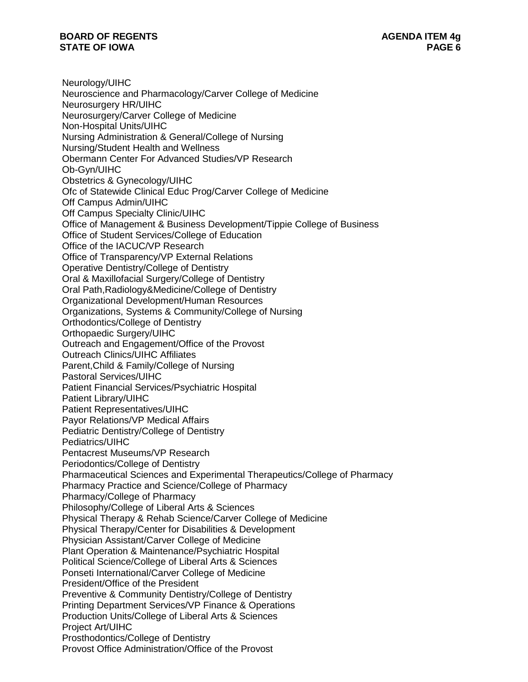Neurology/UIHC Neuroscience and Pharmacology/Carver College of Medicine Neurosurgery HR/UIHC Neurosurgery/Carver College of Medicine Non-Hospital Units/UIHC Nursing Administration & General/College of Nursing Nursing/Student Health and Wellness Obermann Center For Advanced Studies/VP Research Ob-Gyn/UIHC Obstetrics & Gynecology/UIHC Ofc of Statewide Clinical Educ Prog/Carver College of Medicine Off Campus Admin/UIHC Off Campus Specialty Clinic/UIHC Office of Management & Business Development/Tippie College of Business Office of Student Services/College of Education Office of the IACUC/VP Research Office of Transparency/VP External Relations Operative Dentistry/College of Dentistry Oral & Maxillofacial Surgery/College of Dentistry Oral Path,Radiology&Medicine/College of Dentistry Organizational Development/Human Resources Organizations, Systems & Community/College of Nursing Orthodontics/College of Dentistry Orthopaedic Surgery/UIHC Outreach and Engagement/Office of the Provost Outreach Clinics/UIHC Affiliates Parent,Child & Family/College of Nursing Pastoral Services/UIHC Patient Financial Services/Psychiatric Hospital Patient Library/UIHC Patient Representatives/UIHC Payor Relations/VP Medical Affairs Pediatric Dentistry/College of Dentistry Pediatrics/UIHC Pentacrest Museums/VP Research Periodontics/College of Dentistry Pharmaceutical Sciences and Experimental Therapeutics/College of Pharmacy Pharmacy Practice and Science/College of Pharmacy Pharmacy/College of Pharmacy Philosophy/College of Liberal Arts & Sciences Physical Therapy & Rehab Science/Carver College of Medicine Physical Therapy/Center for Disabilities & Development Physician Assistant/Carver College of Medicine Plant Operation & Maintenance/Psychiatric Hospital Political Science/College of Liberal Arts & Sciences Ponseti International/Carver College of Medicine President/Office of the President Preventive & Community Dentistry/College of Dentistry Printing Department Services/VP Finance & Operations Production Units/College of Liberal Arts & Sciences Project Art/UIHC Prosthodontics/College of Dentistry Provost Office Administration/Office of the Provost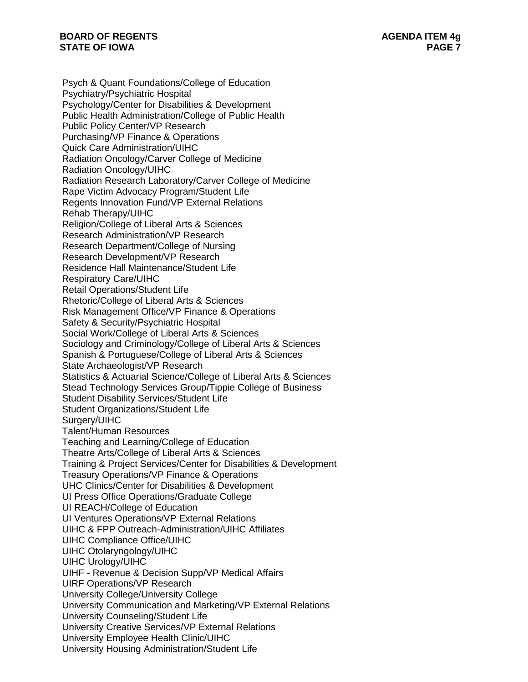Psych & Quant Foundations/College of Education Psychiatry/Psychiatric Hospital Psychology/Center for Disabilities & Development Public Health Administration/College of Public Health Public Policy Center/VP Research Purchasing/VP Finance & Operations Quick Care Administration/UIHC Radiation Oncology/Carver College of Medicine Radiation Oncology/UIHC Radiation Research Laboratory/Carver College of Medicine Rape Victim Advocacy Program/Student Life Regents Innovation Fund/VP External Relations Rehab Therapy/UIHC Religion/College of Liberal Arts & Sciences Research Administration/VP Research Research Department/College of Nursing Research Development/VP Research Residence Hall Maintenance/Student Life Respiratory Care/UIHC Retail Operations/Student Life Rhetoric/College of Liberal Arts & Sciences Risk Management Office/VP Finance & Operations Safety & Security/Psychiatric Hospital Social Work/College of Liberal Arts & Sciences Sociology and Criminology/College of Liberal Arts & Sciences Spanish & Portuguese/College of Liberal Arts & Sciences State Archaeologist/VP Research Statistics & Actuarial Science/College of Liberal Arts & Sciences Stead Technology Services Group/Tippie College of Business Student Disability Services/Student Life Student Organizations/Student Life Surgery/UIHC Talent/Human Resources Teaching and Learning/College of Education Theatre Arts/College of Liberal Arts & Sciences Training & Project Services/Center for Disabilities & Development Treasury Operations/VP Finance & Operations UHC Clinics/Center for Disabilities & Development UI Press Office Operations/Graduate College UI REACH/College of Education UI Ventures Operations/VP External Relations UIHC & FPP Outreach-Administration/UIHC Affiliates UIHC Compliance Office/UIHC UIHC Otolaryngology/UIHC UIHC Urology/UIHC UIHF - Revenue & Decision Supp/VP Medical Affairs UIRF Operations/VP Research University College/University College University Communication and Marketing/VP External Relations University Counseling/Student Life University Creative Services/VP External Relations University Employee Health Clinic/UIHC University Housing Administration/Student Life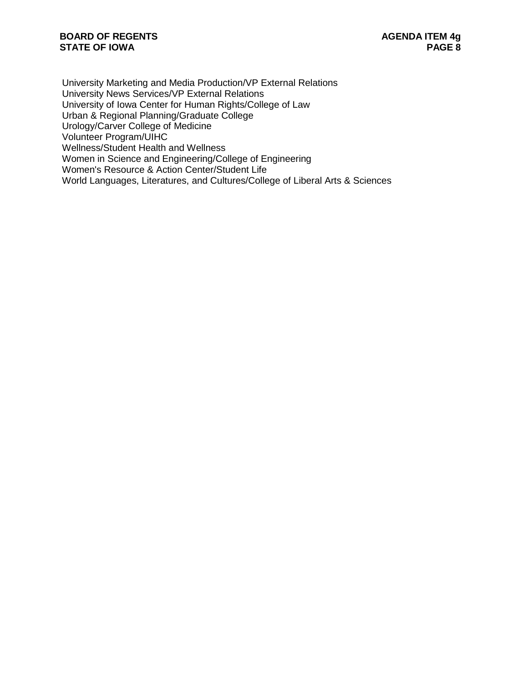University Marketing and Media Production/VP External Relations University News Services/VP External Relations University of Iowa Center for Human Rights/College of Law Urban & Regional Planning/Graduate College Urology/Carver College of Medicine Volunteer Program/UIHC Wellness/Student Health and Wellness Women in Science and Engineering/College of Engineering Women's Resource & Action Center/Student Life World Languages, Literatures, and Cultures/College of Liberal Arts & Sciences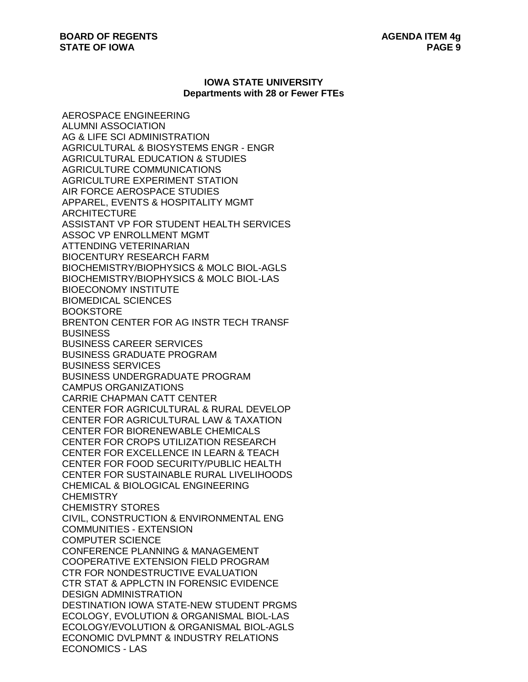#### **IOWA STATE UNIVERSITY Departments with 28 or Fewer FTEs**

AEROSPACE ENGINEERING ALUMNI ASSOCIATION AG & LIFE SCI ADMINISTRATION AGRICULTURAL & BIOSYSTEMS ENGR - ENGR AGRICULTURAL EDUCATION & STUDIES AGRICULTURE COMMUNICATIONS AGRICULTURE EXPERIMENT STATION AIR FORCE AEROSPACE STUDIES APPAREL, EVENTS & HOSPITALITY MGMT **ARCHITECTURE** ASSISTANT VP FOR STUDENT HEALTH SERVICES ASSOC VP ENROLLMENT MGMT ATTENDING VETERINARIAN BIOCENTURY RESEARCH FARM BIOCHEMISTRY/BIOPHYSICS & MOLC BIOL-AGLS BIOCHEMISTRY/BIOPHYSICS & MOLC BIOL-LAS BIOECONOMY INSTITUTE BIOMEDICAL SCIENCES **BOOKSTORE** BRENTON CENTER FOR AG INSTR TECH TRANSF BUSINESS BUSINESS CAREER SERVICES BUSINESS GRADUATE PROGRAM BUSINESS SERVICES BUSINESS UNDERGRADUATE PROGRAM CAMPUS ORGANIZATIONS CARRIE CHAPMAN CATT CENTER CENTER FOR AGRICULTURAL & RURAL DEVELOP CENTER FOR AGRICULTURAL LAW & TAXATION CENTER FOR BIORENEWABLE CHEMICALS CENTER FOR CROPS UTILIZATION RESEARCH CENTER FOR EXCELLENCE IN LEARN & TEACH CENTER FOR FOOD SECURITY/PUBLIC HEALTH CENTER FOR SUSTAINABLE RURAL LIVELIHOODS CHEMICAL & BIOLOGICAL ENGINEERING **CHEMISTRY** CHEMISTRY STORES CIVIL, CONSTRUCTION & ENVIRONMENTAL ENG COMMUNITIES - EXTENSION COMPUTER SCIENCE CONFERENCE PLANNING & MANAGEMENT COOPERATIVE EXTENSION FIELD PROGRAM CTR FOR NONDESTRUCTIVE EVALUATION CTR STAT & APPLCTN IN FORENSIC EVIDENCE DESIGN ADMINISTRATION DESTINATION IOWA STATE-NEW STUDENT PRGMS ECOLOGY, EVOLUTION & ORGANISMAL BIOL-LAS ECOLOGY/EVOLUTION & ORGANISMAL BIOL-AGLS ECONOMIC DVLPMNT & INDUSTRY RELATIONS ECONOMICS - LAS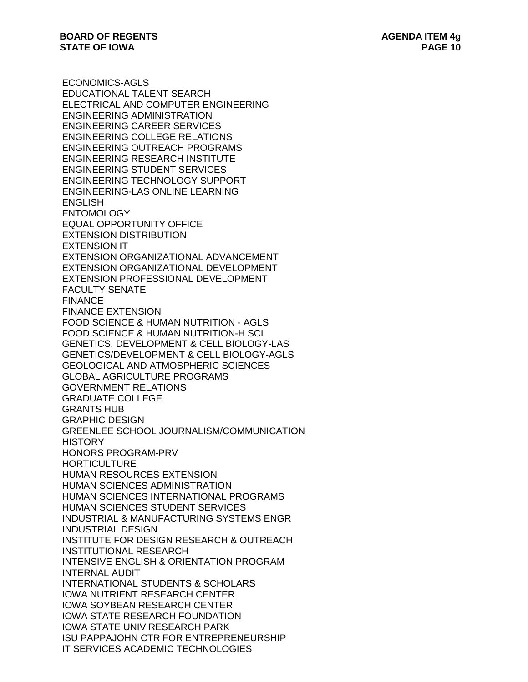ECONOMICS-AGLS EDUCATIONAL TALENT SEARCH ELECTRICAL AND COMPUTER ENGINEERING ENGINEERING ADMINISTRATION ENGINEERING CAREER SERVICES ENGINEERING COLLEGE RELATIONS ENGINEERING OUTREACH PROGRAMS ENGINEERING RESEARCH INSTITUTE ENGINEERING STUDENT SERVICES ENGINEERING TECHNOLOGY SUPPORT ENGINEERING-LAS ONLINE LEARNING ENGLISH **ENTOMOLOGY** EQUAL OPPORTUNITY OFFICE EXTENSION DISTRIBUTION EXTENSION IT EXTENSION ORGANIZATIONAL ADVANCEMENT EXTENSION ORGANIZATIONAL DEVELOPMENT EXTENSION PROFESSIONAL DEVELOPMENT FACULTY SENATE FINANCE FINANCE EXTENSION FOOD SCIENCE & HUMAN NUTRITION - AGLS FOOD SCIENCE & HUMAN NUTRITION-H SCI GENETICS, DEVELOPMENT & CELL BIOLOGY-LAS GENETICS/DEVELOPMENT & CELL BIOLOGY-AGLS GEOLOGICAL AND ATMOSPHERIC SCIENCES GLOBAL AGRICULTURE PROGRAMS GOVERNMENT RELATIONS GRADUATE COLLEGE GRANTS HUB GRAPHIC DESIGN GREENLEE SCHOOL JOURNALISM/COMMUNICATION **HISTORY** HONORS PROGRAM-PRV **HORTICULTURE** HUMAN RESOURCES EXTENSION HUMAN SCIENCES ADMINISTRATION HUMAN SCIENCES INTERNATIONAL PROGRAMS HUMAN SCIENCES STUDENT SERVICES INDUSTRIAL & MANUFACTURING SYSTEMS ENGR INDUSTRIAL DESIGN INSTITUTE FOR DESIGN RESEARCH & OUTREACH INSTITUTIONAL RESEARCH INTENSIVE ENGLISH & ORIENTATION PROGRAM INTERNAL AUDIT INTERNATIONAL STUDENTS & SCHOLARS IOWA NUTRIENT RESEARCH CENTER IOWA SOYBEAN RESEARCH CENTER IOWA STATE RESEARCH FOUNDATION IOWA STATE UNIV RESEARCH PARK ISU PAPPAJOHN CTR FOR ENTREPRENEURSHIP IT SERVICES ACADEMIC TECHNOLOGIES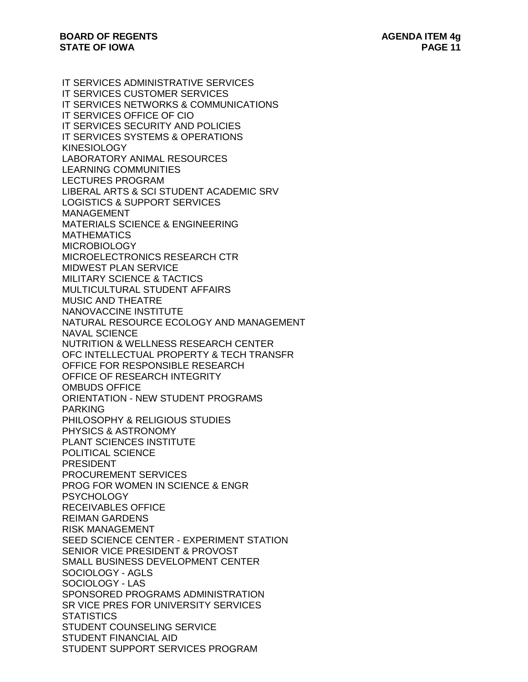IT SERVICES ADMINISTRATIVE SERVICES IT SERVICES CUSTOMER SERVICES IT SERVICES NETWORKS & COMMUNICATIONS IT SERVICES OFFICE OF CIO IT SERVICES SECURITY AND POLICIES IT SERVICES SYSTEMS & OPERATIONS KINESIOLOGY LABORATORY ANIMAL RESOURCES LEARNING COMMUNITIES LECTURES PROGRAM LIBERAL ARTS & SCI STUDENT ACADEMIC SRV LOGISTICS & SUPPORT SERVICES MANAGEMENT MATERIALS SCIENCE & ENGINEERING **MATHEMATICS** MICROBIOLOGY MICROELECTRONICS RESEARCH CTR MIDWEST PLAN SERVICE MILITARY SCIENCE & TACTICS MULTICULTURAL STUDENT AFFAIRS MUSIC AND THEATRE NANOVACCINE INSTITUTE NATURAL RESOURCE ECOLOGY AND MANAGEMENT NAVAL SCIENCE NUTRITION & WELLNESS RESEARCH CENTER OFC INTELLECTUAL PROPERTY & TECH TRANSFR OFFICE FOR RESPONSIBLE RESEARCH OFFICE OF RESEARCH INTEGRITY OMBUDS OFFICE ORIENTATION - NEW STUDENT PROGRAMS PARKING PHILOSOPHY & RELIGIOUS STUDIES PHYSICS & ASTRONOMY PLANT SCIENCES INSTITUTE POLITICAL SCIENCE PRESIDENT PROCUREMENT SERVICES PROG FOR WOMEN IN SCIENCE & ENGR **PSYCHOLOGY** RECEIVABLES OFFICE REIMAN GARDENS RISK MANAGEMENT SEED SCIENCE CENTER - EXPERIMENT STATION SENIOR VICE PRESIDENT & PROVOST SMALL BUSINESS DEVELOPMENT CENTER SOCIOLOGY - AGLS SOCIOLOGY - LAS SPONSORED PROGRAMS ADMINISTRATION SR VICE PRES FOR UNIVERSITY SERVICES **STATISTICS** STUDENT COUNSELING SERVICE STUDENT FINANCIAL AID STUDENT SUPPORT SERVICES PROGRAM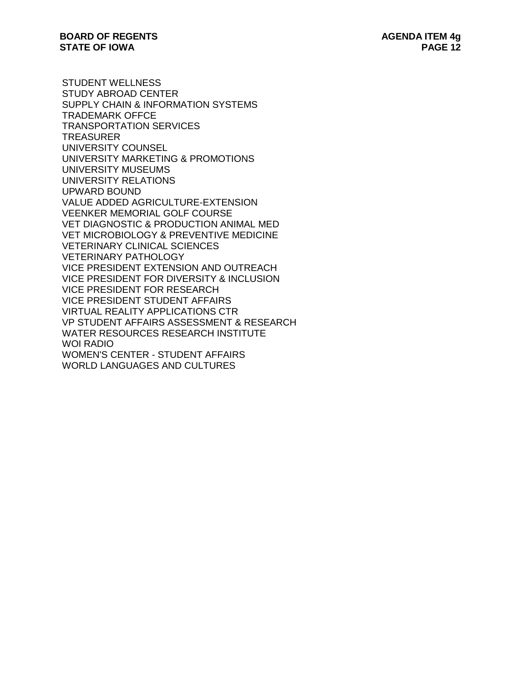STUDENT WELLNESS STUDY ABROAD CENTER SUPPLY CHAIN & INFORMATION SYSTEMS TRADEMARK OFFCE TRANSPORTATION SERVICES **TREASURER** UNIVERSITY COUNSEL UNIVERSITY MARKETING & PROMOTIONS UNIVERSITY MUSEUMS UNIVERSITY RELATIONS UPWARD BOUND VALUE ADDED AGRICULTURE-EXTENSION VEENKER MEMORIAL GOLF COURSE VET DIAGNOSTIC & PRODUCTION ANIMAL MED VET MICROBIOLOGY & PREVENTIVE MEDICINE VETERINARY CLINICAL SCIENCES VETERINARY PATHOLOGY VICE PRESIDENT EXTENSION AND OUTREACH VICE PRESIDENT FOR DIVERSITY & INCLUSION VICE PRESIDENT FOR RESEARCH VICE PRESIDENT STUDENT AFFAIRS VIRTUAL REALITY APPLICATIONS CTR VP STUDENT AFFAIRS ASSESSMENT & RESEARCH WATER RESOURCES RESEARCH INSTITUTE WOI RADIO WOMEN'S CENTER - STUDENT AFFAIRS WORLD LANGUAGES AND CULTURES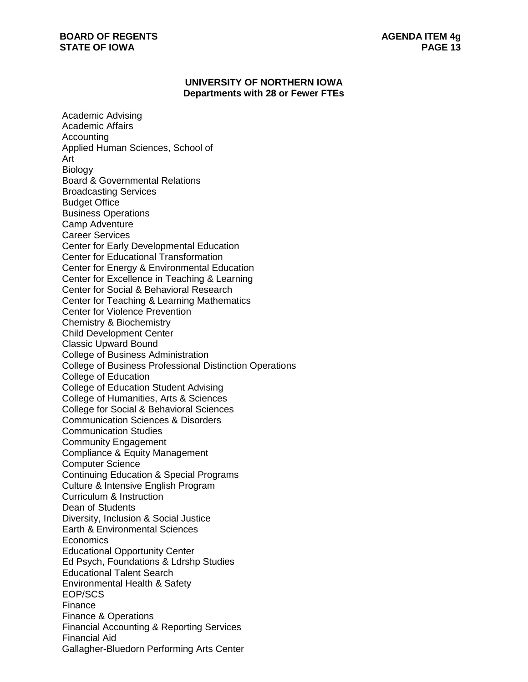## **UNIVERSITY OF NORTHERN IOWA Departments with 28 or Fewer FTEs**

Academic Advising Academic Affairs **Accounting** Applied Human Sciences, School of Art Biology Board & Governmental Relations Broadcasting Services Budget Office Business Operations Camp Adventure Career Services Center for Early Developmental Education Center for Educational Transformation Center for Energy & Environmental Education Center for Excellence in Teaching & Learning Center for Social & Behavioral Research Center for Teaching & Learning Mathematics Center for Violence Prevention Chemistry & Biochemistry Child Development Center Classic Upward Bound College of Business Administration College of Business Professional Distinction Operations College of Education College of Education Student Advising College of Humanities, Arts & Sciences College for Social & Behavioral Sciences Communication Sciences & Disorders Communication Studies Community Engagement Compliance & Equity Management Computer Science Continuing Education & Special Programs Culture & Intensive English Program Curriculum & Instruction Dean of Students Diversity, Inclusion & Social Justice Earth & Environmental Sciences **Economics** Educational Opportunity Center Ed Psych, Foundations & Ldrshp Studies Educational Talent Search Environmental Health & Safety EOP/SCS Finance Finance & Operations Financial Accounting & Reporting Services Financial Aid Gallagher-Bluedorn Performing Arts Center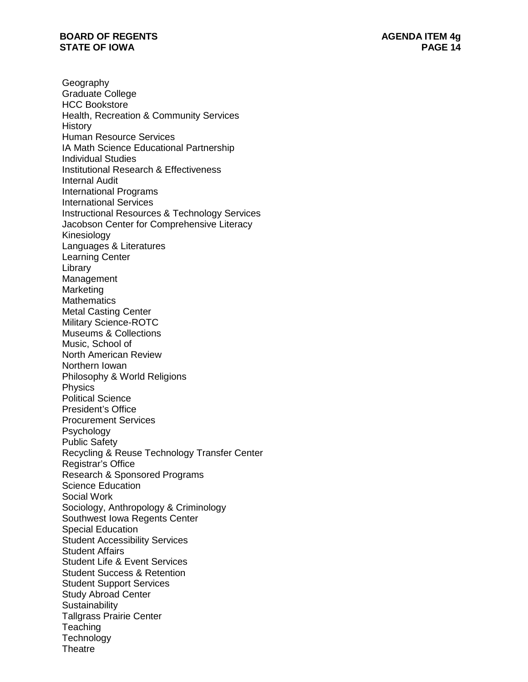Geography Graduate College HCC Bookstore Health, Recreation & Community Services History Human Resource Services IA Math Science Educational Partnership Individual Studies Institutional Research & Effectiveness Internal Audit International Programs International Services Instructional Resources & Technology Services Jacobson Center for Comprehensive Literacy Kinesiology Languages & Literatures Learning Center Library Management **Marketing Mathematics** Metal Casting Center Military Science -ROTC Museums & Collections Music, School of North American Review Northern Iowan Philosophy & World Religions Physics Political Science President's Office Procurement Services Psychology Public Safety Recycling & Reuse Technology Transfer Center Registrar's Office Research & Sponsored Programs Science Education Social Work Sociology, Anthropology & Criminology Southwest Iowa Regents Center Special Education Student Accessibility Services Student Affairs Student Life & Event Services Student Success & Retention Student Support Services Study Abroad Center **Sustainability** Tallgrass Prairie Center **Teaching Technology Theatre**